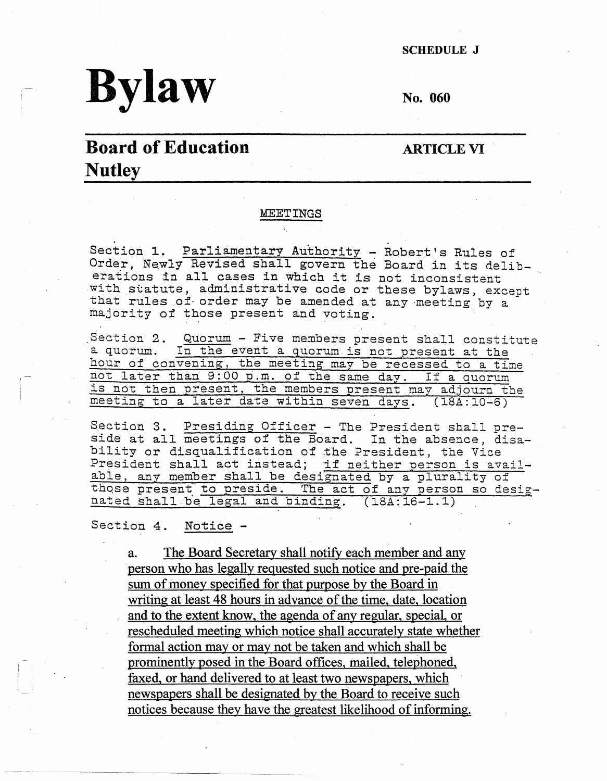SCHEDULE J

# **Bylaw**

**No. 060** 

## **Board of Education Nutley**

**ARTICLE VI** 

#### MEETINGS

Section 1. Parliamentary Authority - Robert's Rules of Order, Newly Revised shall govern the Board in its deliberations in all cases in which it is not inconsistent with statute, administrative code or these bylaws, except that rules of order may be amended at any meeting by a majority of those present and voting.

Section 2. Quorum - Five members present shall constitute a quorum. In the event a quorum is not present at the hour of convening, the meeting may be recessed to a time not later than 9:00 p.m. of the same day. If a auorum is not then present, the members present may adjourn the meeting to a later date within seven days. (18A:10-6)

Section 3. Presiding Officer - The President shall preside at all meetings of the Board. In the absence, disability or disqualification of the President, the Vice President shall act instead; if neither person is availabie, any member shall be designated by a plurality of those present to preside. The act of any person so desig nated shall be legal and binding.  $(18A:16-1.1)$ 

Section 4. Notice -

·~~----~-~-

a. The Board Secretary shall notify each member and any person who has legally requested such notice and pre-paid the sum of money specified for that purpose by the Board in writing at least 48 hours in advance of the time, date, location and to the extent know, the agenda of any regular, special, or rescheduled meeting which notice shall accurately state whether formal action may or may not be taken and which shall be prominently posed in the Board offices, mailed, telephoned, faxed, or hand delivered to at least two newspapers, which newspapers shall be designated by the Board to receive such notices because they have the greatest likelihood of informing.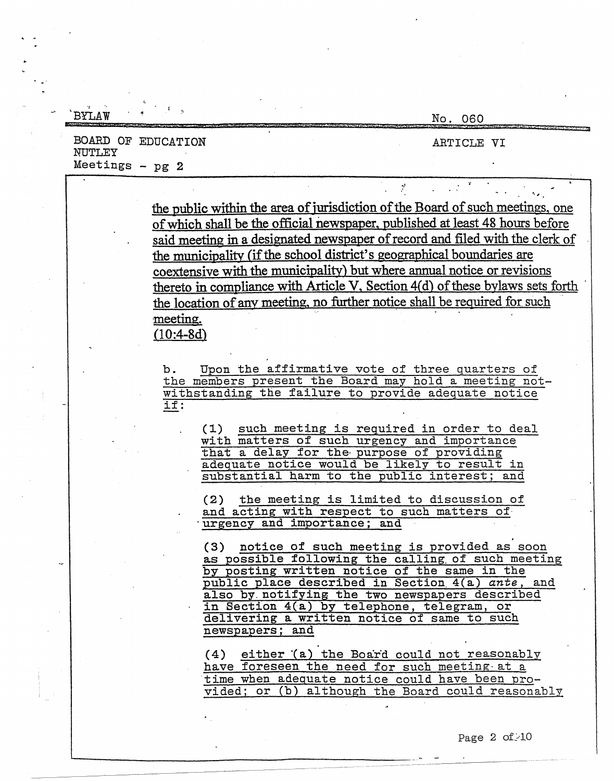| RYT.AW              | No. 060                                                                                                                                                                                                                                                                                                                                                                                                                                                                                                                                                                                     |
|---------------------|---------------------------------------------------------------------------------------------------------------------------------------------------------------------------------------------------------------------------------------------------------------------------------------------------------------------------------------------------------------------------------------------------------------------------------------------------------------------------------------------------------------------------------------------------------------------------------------------|
| NUTLEY              | BOARD OF EDUCATION<br>ARTICLE VI                                                                                                                                                                                                                                                                                                                                                                                                                                                                                                                                                            |
| Meetings $-$ pg $2$ |                                                                                                                                                                                                                                                                                                                                                                                                                                                                                                                                                                                             |
|                     | the public within the area of jurisdiction of the Board of such meetings, one<br>of which shall be the official newspaper, published at least 48 hours before<br>said meeting in a designated newspaper of record and filed with the clerk of<br>the municipality (if the school district's geographical boundaries are<br>coextensive with the municipality) but where annual notice or revisions<br>thereto in compliance with Article V, Section 4(d) of these bylaws sets forth<br>the location of any meeting, no further notice shall be required for such<br>meeting.<br>$(10:4-8d)$ |
|                     | Upon the affirmative vote of three quarters of<br>b.<br>the members present the Board may hold a meeting not-<br>withstanding the failure to provide adequate notice<br>if:<br>(1) such meeting is required in order to deal<br>with matters of such urgency and importance                                                                                                                                                                                                                                                                                                                 |
|                     | that a delay for the purpose of providing<br>adequate notice would be likely to result in<br>substantial harm to the public interest; and<br>the meeting is limited to discussion of<br>(2)<br>and acting with respect to such matters of<br>urgency and importance; and<br>(3) notice of such meeting is provided as soon                                                                                                                                                                                                                                                                  |
|                     | as possible following the calling of such meeting<br>by posting written notice of the same in the<br>public place described in Section 4(a) ante, and<br>also by notifying the two newspapers described<br>in Section 4(a) by telephone, telegram, or<br>delivering a written notice of same to such                                                                                                                                                                                                                                                                                        |
|                     | newspapers; and<br>(4) either (a) the Board could not reasonably<br>have foreseen the need for such meeting at a<br>time when adequate notice could have been pro-<br>vided; or (b) although the Board could reasonably                                                                                                                                                                                                                                                                                                                                                                     |

-------------------------~\_:\_ \_\_\_\_\_\_\_\_\_\_ -- - -

.·

#### Page 2 of  $-10$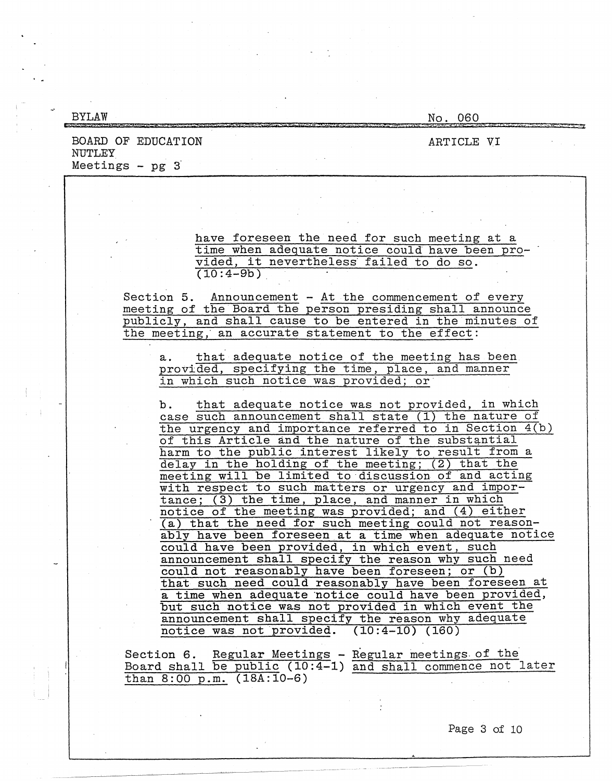| <b>BYLAW</b>                  |                                                                                                                                                                                                                                                                                                                                                                                                                                                                                                                                                                                                                                                                                                                                                                   | No. 060                                                                                                                                                                                                                                                                                                                                       |
|-------------------------------|-------------------------------------------------------------------------------------------------------------------------------------------------------------------------------------------------------------------------------------------------------------------------------------------------------------------------------------------------------------------------------------------------------------------------------------------------------------------------------------------------------------------------------------------------------------------------------------------------------------------------------------------------------------------------------------------------------------------------------------------------------------------|-----------------------------------------------------------------------------------------------------------------------------------------------------------------------------------------------------------------------------------------------------------------------------------------------------------------------------------------------|
| NUTLEY<br>Meetings $-$ pg $3$ | BOARD OF EDUCATION                                                                                                                                                                                                                                                                                                                                                                                                                                                                                                                                                                                                                                                                                                                                                | ARTICLE VI                                                                                                                                                                                                                                                                                                                                    |
|                               | vided, it nevertheless failed to do so.<br>$(10:4-9b)$<br>Section 5. Announcement - At the commencement of every<br>meeting of the Board the person presiding shall announce<br>publicly, and shall cause to be entered in the minutes of<br>the meeting, an accurate statement to the effect:<br>а.                                                                                                                                                                                                                                                                                                                                                                                                                                                              | have foreseen the need for such meeting at a<br>time when adequate notice could have been pro-<br>that adequate notice of the meeting has been                                                                                                                                                                                                |
|                               | provided, specifying the time, place, and manner<br>in which such notice was provided; or<br>b.<br>case such announcement shall state (1) the nature of<br>of this Article and the nature of the substantial<br>harm to the public interest likely to result from a<br>delay in the holding of the meeting; (2) that the<br>meeting will be limited to discussion of and acting<br>with respect to such matters or urgency and impor-<br>tance; (3) the time, place, and manner in which<br>notice of the meeting was provided; and (4) either<br>could have been provided, in which event, such<br>announcement shall specify the reason why such need<br>could not reasonably have been foreseen; or (b)<br>but such notice was not provided in which event the | that adequate notice was not provided, in which<br>the urgency and importance referred to in Section 4(b)<br>(a) that the need for such meeting could not reason-<br>ably have been foreseen at a time when adequate notice<br>that such need could reasonably have been foreseen at<br>a time when adequate notice could have been provided, |
|                               | announcement shall specify the reason why adequate<br>notice was not provided. $(10:4-10)$ $(160)$<br>Section 6. Regular Meetings - Regular meetings of the<br>Board shall be public (10:4-1) and shall commence not later<br>than $8:00$ p.m. $(18A:10-6)$                                                                                                                                                                                                                                                                                                                                                                                                                                                                                                       | Page 3 of 10                                                                                                                                                                                                                                                                                                                                  |

 $\ddot{\phantom{0}}$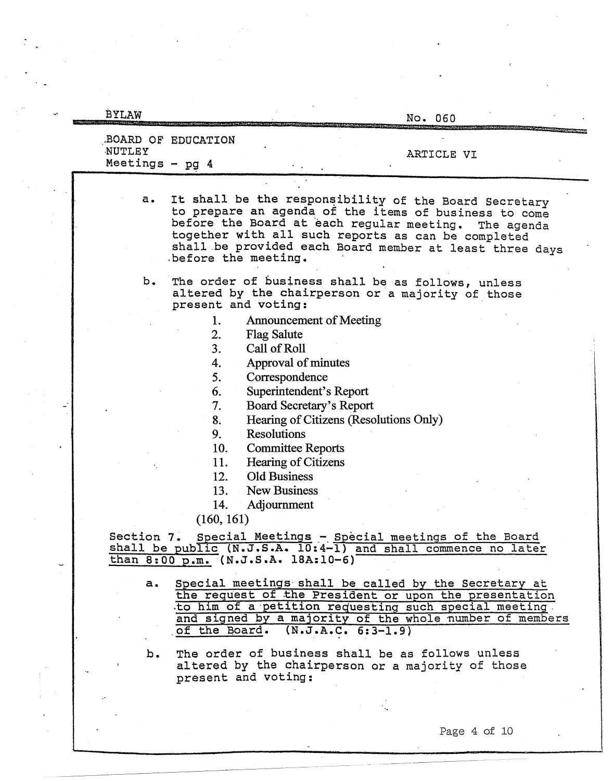| <b>BYLAW</b>              | No. 060                                                                                                                                                                                                                                                                                                                                                                                                                                                                                                                                                                                   |
|---------------------------|-------------------------------------------------------------------------------------------------------------------------------------------------------------------------------------------------------------------------------------------------------------------------------------------------------------------------------------------------------------------------------------------------------------------------------------------------------------------------------------------------------------------------------------------------------------------------------------------|
| NUTLEY<br>Meetings - pg 4 | BOARD OF EDUCATION<br>ARTICLE VI                                                                                                                                                                                                                                                                                                                                                                                                                                                                                                                                                          |
| a.                        | It shall be the responsibility of the Board Secretary<br>to prepare an agenda of the items of business to come<br>before the Board at each regular meeting.<br>The agenda<br>together with all such reports as can be completed<br>shall be provided each Board member at least three days<br>before the meeting.                                                                                                                                                                                                                                                                         |
| b.                        | The order of business shall be as follows, unless<br>altered by the chairperson or a majority of those<br>present and voting:                                                                                                                                                                                                                                                                                                                                                                                                                                                             |
|                           | 1.<br><b>Announcement of Meeting</b><br>2.<br><b>Flag Salute</b><br>3 <sub>1</sub><br>Call of Roll<br>Approval of minutes<br>4.<br>5.<br>Correspondence<br>6.<br>Superintendent's Report<br>7.<br>Board Secretary's Report<br>Hearing of Citizens (Resolutions Only)<br>8.<br>9.<br>Resolutions<br>10.<br><b>Committee Reports</b><br>11.<br>Hearing of Citizens<br><b>Old Business</b><br>12.<br>13.<br>New Business<br>Adjournment<br>14.<br>(160, 161)<br>Section 7. Special Meetings - Special meetings of the Board<br>shall be public (N.J.S.A. 10:4-1) and shall commence no later |
| a.                        | than 8:00 p.m. (N.J.S.A. 18A:10-6)<br>Special meetings shall be called by the Secretary at<br>the request of the President or upon the presentation<br>to him of a petition requesting such special meeting.<br>and signed by a majority of the whole number of members<br>of the Board. $(N.J.A.C. 6:3-1.9)$                                                                                                                                                                                                                                                                             |
| b.                        | The order of business shall be as follows unless<br>altered by the chairperson or a majority of those<br>present and voting:                                                                                                                                                                                                                                                                                                                                                                                                                                                              |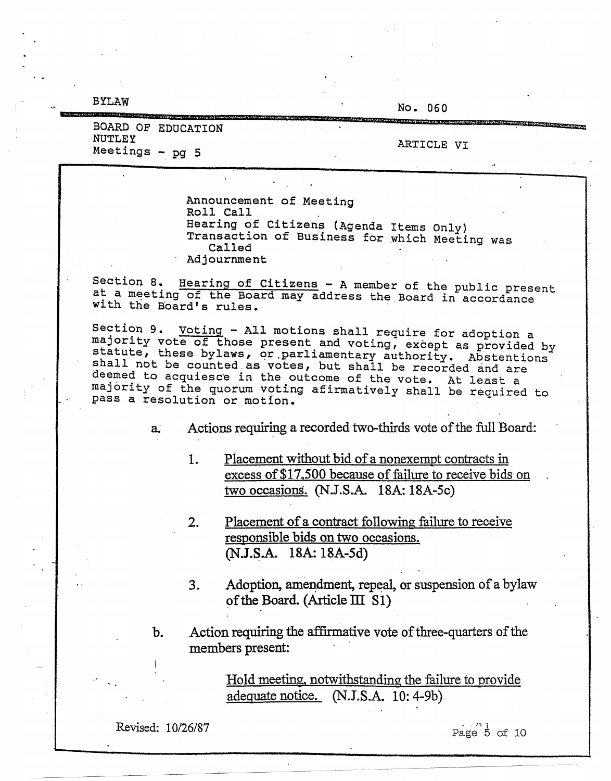**BYLAW** 

No. 060

| BOARD OF EDUCATION        | and the contract of the contract of the contract of the contract of the contract of the contract of the contract of the contract of the contract of the contract of the contract of the contract of the contract of the contra |
|---------------------------|--------------------------------------------------------------------------------------------------------------------------------------------------------------------------------------------------------------------------------|
| NUTLEY<br>Meetings - pg 5 | ARTICLE VI                                                                                                                                                                                                                     |
|                           |                                                                                                                                                                                                                                |

Announcement of Meeting Roll Call Hearing of Citizens (Agenda Items Only) Transaction of Business for which Meeting was Called Adjournment

Section 8. Hearing of Citizens - A member of the public present<br>at a meeting of the Board may address the Board in accordance with the Board's rules.

Section 9. Voting - All motions shall require for adoption a majority vote of those present and voting, except as provided by statute, these bylaws, or parliamentary authority. Abstentions shall not be counted as votes, but shall be recorded and are deemed to acquiesce in the outcome of the vote. At least a majority of the quorum voting afirmatively shall be required to pass a resolution or motion.

> Actions requiring a recorded two-thirds vote of the full Board: a.

- Placement without bid of a nonexempt contracts in 1. excess of \$17,500 because of failure to receive bids on two occasions. (N.J.S.A. 18A: 18A-5c)
- Placement of a contract following failure to receive  $2.$ responsible bids on two occasions. (N.J.S.A. 18A: 18A-5d)
- $3.$ Adoption, amendment, repeal, or suspension of a bylaw of the Board. (Article III S1)
- b. Action requiring the affirmative vote of three-quarters of the members present:

Hold meeting, notwithstanding the failure to provide adequate notice. (N.J.S.A. 10: 4-9b)

Revised: 10/26/87

Page  $\overline{5}$  of 10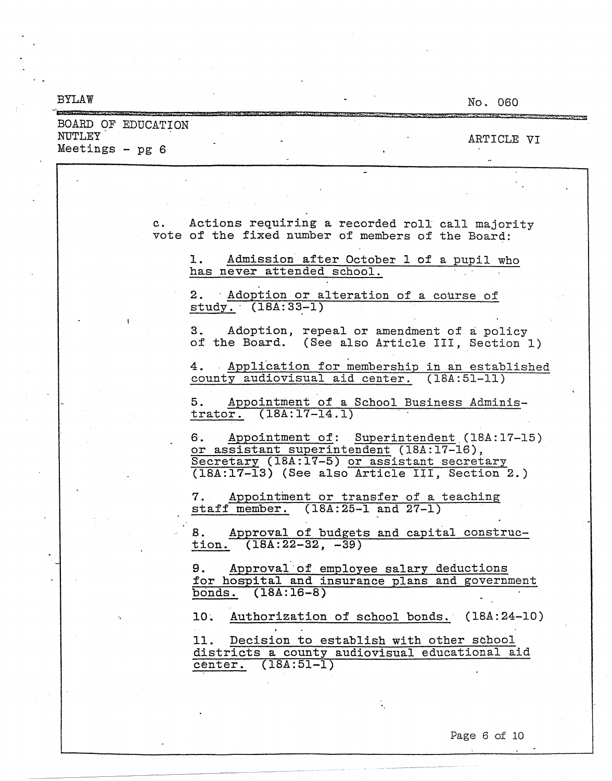| <b>BYLAW</b>                                      |                                                                                                                                                 | No. 060                                      |
|---------------------------------------------------|-------------------------------------------------------------------------------------------------------------------------------------------------|----------------------------------------------|
| BOARD OF EDUCATION<br>NUTLEY<br>Meetings - $pg 6$ |                                                                                                                                                 | ARTICLE VI                                   |
|                                                   |                                                                                                                                                 |                                              |
|                                                   | Actions requiring a recorded roll call majority<br>$c_{\rm{1}}$<br>vote of the fixed number of members of the Board:                            |                                              |
|                                                   | Admission after October 1 of a pupil who<br>1. .<br>has never attended school.                                                                  |                                              |
|                                                   | 2. Adoption or alteration of a course of<br>$study. (18A:33-1)$                                                                                 |                                              |
|                                                   | 3.<br>of the Board. (See also Article III, Section 1)                                                                                           | Adoption, repeal or amendment of a policy    |
|                                                   | 4.<br>county audiovisual aid center. (18A:51-11)                                                                                                | Application for membership in an established |
|                                                   | 5.<br>trator. $(18A:17-14.1)$                                                                                                                   | Appointment of a School Business Adminis-    |
|                                                   | 6.<br>or assistant superintendent (18A:17-16),<br>Secretary (18A:17-5) or assistant secretary<br>(18A:17-13) (See also Article III, Section 2.) | Appointment of: Superintendent (18A:17-15)   |
|                                                   | Appointment or transfer of a teaching<br>staff member. $(18A:25-1$ and $27-1)$                                                                  |                                              |
|                                                   | 8.<br>tion. $(18A:22-32, -39)$                                                                                                                  | Approval of budgets and capital construc-    |
|                                                   | Approval of employee salary deductions<br>9.<br>for hospital and insurance plans and government<br>bonds. (18A:16-8)                            |                                              |
|                                                   | 10.<br>11. Decision to establish with other school<br>districts a county audiovisual educational aid<br>center. (18A:51-1)                      | Authorization of school bonds. (18A:24-10)   |
|                                                   |                                                                                                                                                 |                                              |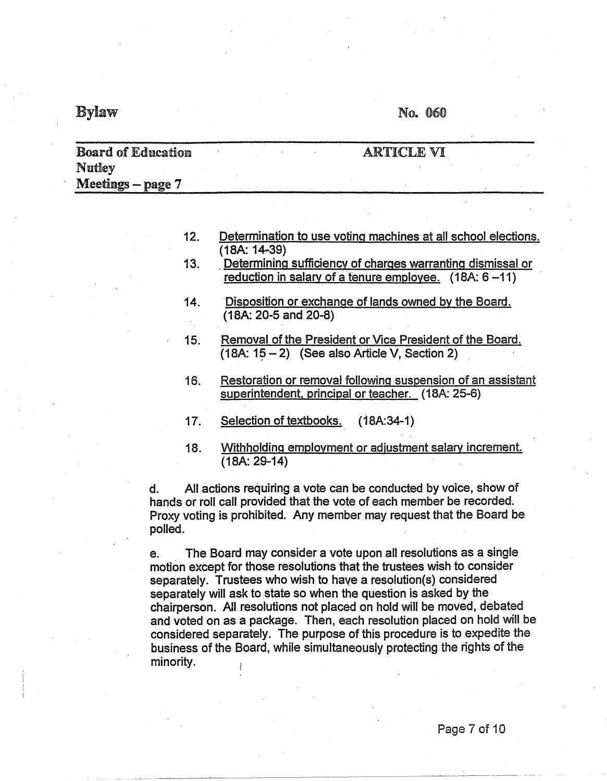## $By$ law  $N_0$ . 060

| <b>Board of Education</b> |  | ARTICLE VI |  |
|---------------------------|--|------------|--|
| Nutley                    |  |            |  |
| Meetings – page $7$       |  |            |  |

| 12. | Determination to use voting machines at all school elections. |  |  |  |  |
|-----|---------------------------------------------------------------|--|--|--|--|
|     | $(18A: 14-39)$                                                |  |  |  |  |

- 13. . Determining sufficiency of charges warranting dismissal or reduction in salary of a tenure employee.  $(18A: 6-11)$
- 14. Disposition or exchange of lands owned by the Board. (18A: 20-5 and 20-8)
- 15. Removal of the President or Vice President of the Board.  $(18A: 15 - 2)$  (See also Article V, Section 2)
- 16. Restoration or removal following suspension of an assistant superintendent, principal or teacher. (18A: 25-6)
- 17. Selection of textbooks. (18A:34-1)
- 18. Withholding employment or adiustment salary increment. (18A: 29-14)

d. All actions requiring a vote can be conducted by voice, show of hands or roll call provided that the vote of each member be recorded. Proxy voting is prohibited. Any member may request that the Board be polled.

e. The Board may consider a vote upon all resolutions as a single motion except for those resolutions that the trustees wish to consider separately. Trustees who wish to have a resolution(s) considered separately will ask to state so when the question is asked by the chairperson. All resolutions not placed on hold will be moved, debated and voted on as a package. Then, each resolution placed on hold will be considered separately. The purpose of this procedure is to expedite the business of the Board, while simultaneously protecting the rights of the minority.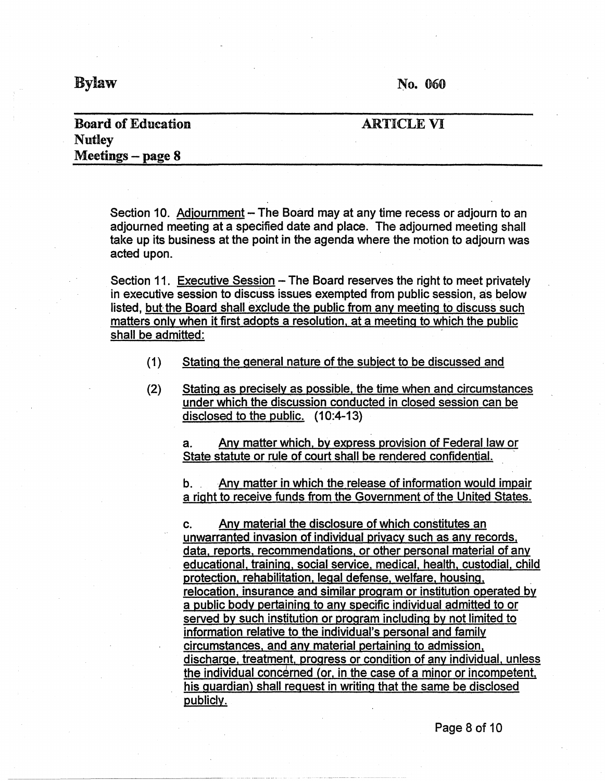$Bylaw$  r. To. 060

### **Board** of Education **Nutley Meetings** - **page 8**

#### ARTICLE VI

Section 10. Adjournment – The Board may at any time recess or adjourn to an adjourned meeting at a specified date and place. The adjourned meeting shall take up its business at the point in the agenda where the motion to adjourn was acted upon.

Section 11. Executive Session – The Board reserves the right to meet privately in executive session to discuss issues exempted from public session, as below listed, but the Board shall exclude the public from any meeting to discuss such matters only when it first adopts a resolution, at a meeting to which the public shall be admitted:

- (1) Stating the general nature of the subject to be discussed and
- (2) Stating as precisely as possible, the time when and circumstances under which the discussion conducted in closed session can be disclosed to the public. (10:4-13)

a. Any matter which. by express provision of Federal law or State statute or rule of court shall be rendered confidential.

b. Any matter in which the release of information would impair a right to receive funds from the Government of the United States.

c. Any material the disclosure of which constitutes an unwarranted invasion of individual privacy such as any records, data, reports, recommendations, or other personal material of any educational. training, social service, medical, health, custodial, child protection, rehabilitation, legal defense, welfare, housing, \_ relocation. insurance and similar program or institution operated by a public body pertaining to any specific individual admitted to or served by such institution or program including by not limited to information relative to the individual's personal and family circumstances, and any material pertaining to admission, discharge, treatment, progress or condition of any individual, unless the individual concerned (or, in the case of a minor or incompetent, his guardian) shall request in writing that the same be disclosed publicly.

Page 8 of 10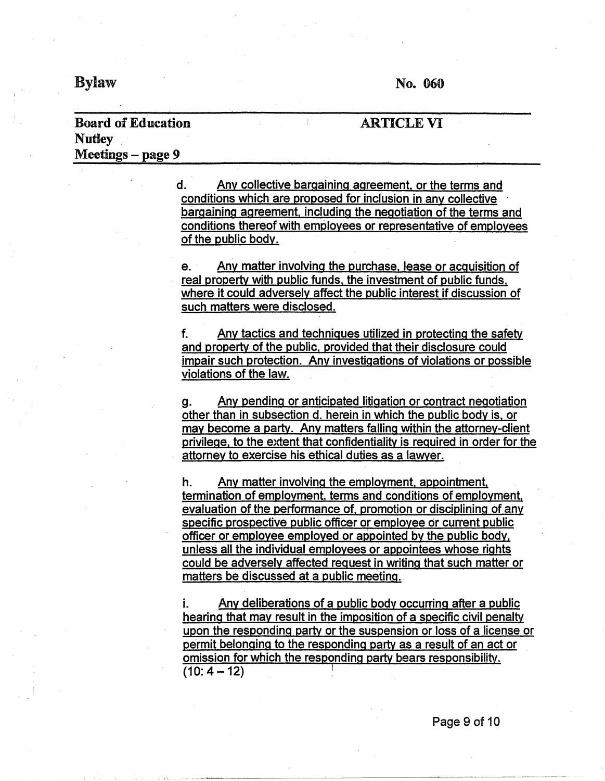**ARTICLE VI** 

#### **Board of Education Nutley Meetings** - **page 9**

#### d. Any collective bargaining agreement. or the terms and conditions which are proposed for inclusion in any collective · bargaining agreement, including the negotiation of the terms and conditions thereof with employees or representative of employees of the public body.

 $\mathbf{f}^{\prime}$ 

e. Any matter involving the purchase, lease or acquisition of real property with public funds, the investment of public funds. where it could adversely affect the public interest if discussion of such matters were disclosed.

f. Any tactics and techniques utilized in protecting the safety and property of the public, provided that their disclosure could impair such protection. Any investigations of violations or possible violations of the law.

g. Any pending or anticipated litigation or contract negotiation other than in subsection d. herein in which the public body is. or may become a party. Any matters falling within the attorney-client privilege, to the extent that confidentiality is required in order for the attorney to exercise his ethical duties as a 1awyer.

h. Any matter involving the employment, appointment, termination of employment, terms and conditions of employment, evaluation of the performance of. promotion or disciplining of any specific prospective public officer or employee or current public officer or employee employed or appointed by the public body, unless all the individual employees or appointees whose rights could be adversely affected request in writing that such matter or matters be discussed at a public meeting.

i. Any deliberations of a public body occurring after a public hearing that may result in the imposition of a specific civil penalty upon the responding party or the suspension or loss of a license or permit belonging to the responding party as a result of an act or omission for which the responding party bears responsibility. **(10:4-12)** I